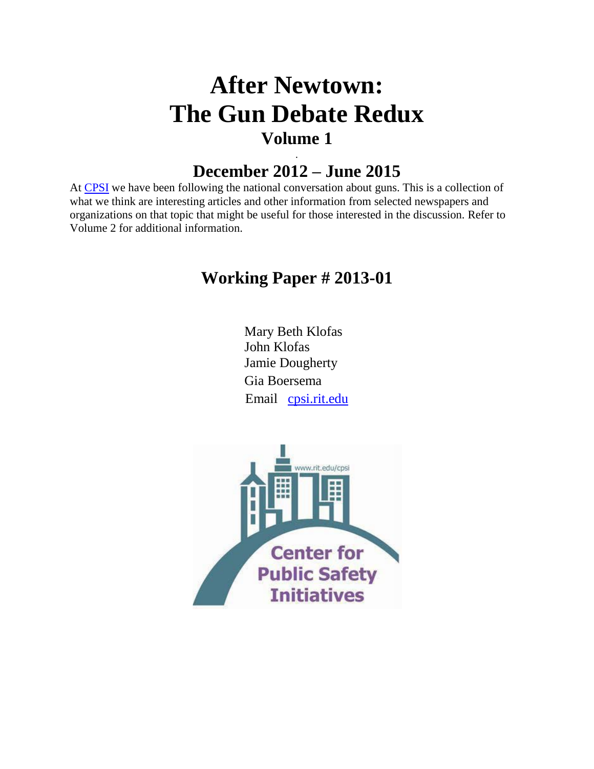# **After Newtown: The Gun Debate Redux Volume 1**

# . **December 2012 – June 2015**

At [CPSI](http://www.rit.edu/cla/cpsi/) we have been following the national conversation about guns. This is a collection of what we think are interesting articles and other information from selected newspapers and organizations on that topic that might be useful for those interested in the discussion. Refer to Volume 2 for additional information.

# **Working Paper # 2013-01**

Mary Beth Klofas John Klofas Jamie Dougherty Gia Boersema Email [cpsi.rit.edu](mailto:cpsi.rit.edu)

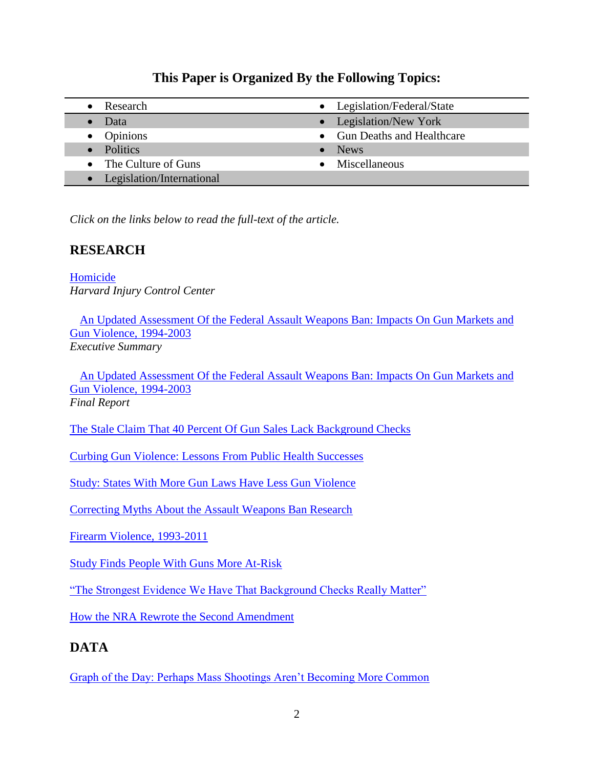## **This Paper is Organized By the Following Topics:**

- 
- 
- 
- 
- Legislation/International
- Research **Legislation/Federal/State** • Data **Legislation/New York** • Opinions • Gun Deaths and Healthcare • Politics • News The Culture of Guns Miscellaneous

*Click on the links below to read the full-text of the article.*

# **RESEARCH**

[Homicide](http://www.hsph.harvard.edu/research/hicrc/firearms-research/guns-and-death/index.html) *Harvard Injury Control Center*

[An Updated Assessment Of the Federal Assault Weapons Ban: Impacts On Gun Markets and](http://www.sas.upenn.edu/jerrylee/research/aw_exec2004.pdf)  [Gun Violence, 1994-2003](http://www.sas.upenn.edu/jerrylee/research/aw_exec2004.pdf) *Executive Summary*

An Updated Assessment Of [the Federal Assault Weapons Ban: Impacts On Gun Markets and](http://www.sas.upenn.edu/jerrylee/research/aw_final2004.pdf)  [Gun Violence, 1994-2003](http://www.sas.upenn.edu/jerrylee/research/aw_final2004.pdf) *Final Report*

[The Stale Claim That 40 Percent Of Gun Sales Lack Background Checks](http://www.washingtonpost.com/blogs/fact-checker/post/the-stale-claim-that-40-percent-of-gun-sales-lack-background-checks/2013/01/20/e42ec050-629a-11e2-b05a-605528f6b712_blog.html?tid=pm_politics_pop)

[Curbing Gun Violence: Lessons From Public Health Successes](http://jama.jamanetwork.com/article.aspx?articleid=1556167#qundefined)

[Study: States With More Gun Laws Have Less Gun Violence](http://www.usatoday.com/story/news/nation/2013/03/07/gun-violence-study-chicago/1969227/)

[Correcting Myths About the Assault Weapons Ban Research](http://blog.metrotrends.org/2013/03/correcting-myths-assault-weapons-ban-research/)

[Firearm Violence, 1993-2011](http://www.bjs.gov/content/pub/pdf/fv9311.pdf)

[Study Finds People With Guns More At-Risk](http://www.thedailybeast.com/articles/2014/01/20/study-finds-people-with-guns-more-at-risk-for-suicide-and-homicide.html#url=/articles/2014/01/20/study-finds-people-with-guns-more-at-risk-for-suicide-and-homicide.html) 

"The Strongest Evidence We Have That Background Checks Really Matter"

[How the NRA Rewrote the Second Amendment](http://www.politico.com/magazine/story/2014/05/nra-guns-second-amendment-106856.html?hp=pm_1#.U3v0EMIU_IU) 

# **DATA**

[Graph of the Day: Perhaps Mass Shootings Aren't Becoming More Common](http://www.washingtonpost.com/blogs/wonkblog/wp/2012/12/17/graph-of-the-day-perhaps-mass-shootings-arent-becoming-more-common/)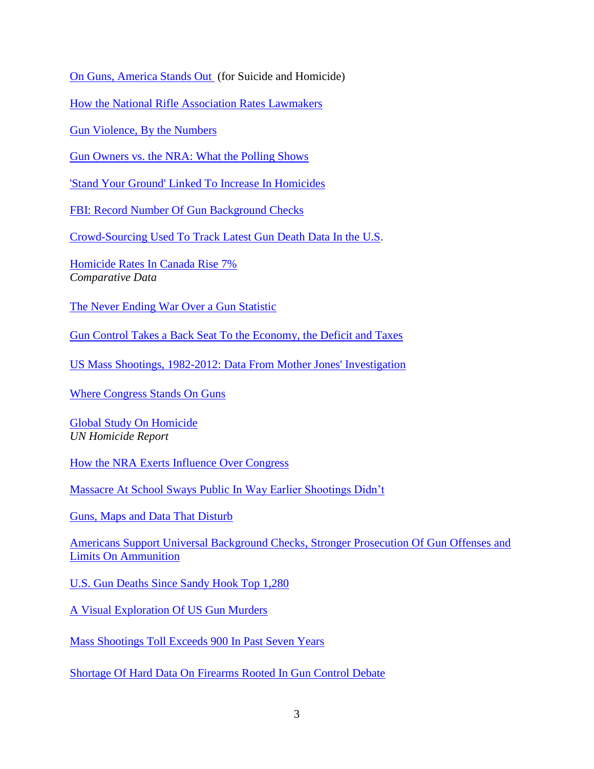[On Guns, America Stands Out](http://www.nytimes.com/2012/12/20/opinion/blow-on-guns-america-stands-out.html?hp&_r=0) (for Suicide and Homicide)

[How the National Rifle Association Rates Lawmakers](http://www.nytimes.com/interactive/2012/12/19/us/politics/nra.html)

Gun [Violence,](http://www.salon.com/2012/12/23/gun_violence_by_the_numbers/) By the Numbers

[Gun Owners vs. the NRA: What the Polling Shows](http://www.washingtonpost.com/blogs/wonkblog/wp/2012/12/23/gun-owners-vs-the-nra-what-the-polling-shows/?hpid=z2)

['Stand Your Ground' Linked To Increase In Homicides](http://www.npr.org/2013/01/02/167984117/-stand-your-ground-linked-to-increase-in-homicide)

[FBI: Record Number Of Gun Background Checks](http://www.politico.com/story/2013/01/fbi-record-gun-background-checks-85710.html?hp=r3)

[Crowd-Sourcing Used To Track Latest Gun Death Data In the U.S.](http://www.thestar.com/news/world/article/1309623--crowd-sourcing-used-to-track-latest-gun-death-data-in-the-u-s)

[Homicide Rates In Canada Rise 7%](http://www.cbc.ca/news/canada/story/2012/12/04/homicides-statistics-canada-2011.html) *Comparative Data*

[The Never Ending War Over a Gun Statistic](http://chronicle.com/blogs/percolator/the-never-ending-war-over-a-gun-statistic/31873)

[Gun Control Takes a Back Seat To the Economy, the Deficit and Taxes](http://www.washingtonpost.com/politics/addressing-gun-control-takes-a-back-seat-to-economy-deficit-and-taxes/2013/01/14/c7f62e92-5ea2-11e2-90a0-73c8343c6d61_graphic.html)

[US Mass Shootings, 1982-2012: Data From Mother Jones' Investigation](http://www.motherjones.com/politics/2012/12/mass-shootings-mother-jones-full-data)

[Where Congress Stands On Guns](http://projects.propublica.org/guns/)

[Global Study On Homicide](http://www.unodc.org/documents/data-and-analysis/statistics/Homicide/Globa_study_on_homicide_2011_web.pdf) *UN Homicide Report* 

[How the NRA Exerts Influence Over Congress](http://www.washingtonpost.com/wp-srv/special/politics/nra-congress/)

[Massacre At School Sways Public In Way Earlier Shootings Didn't](http://www.nytimes.com/2013/01/18/us/poll-shows-school-shooting-sways-views-on-guns.html?hp)

[Guns, Maps and Data That Disturb](http://www.nytimes.com/2013/01/14/business/media/guns-maps-and-disturbing-data.html?ref=technology)

Americans [Support Universal Background Checks, Stronger Prosecution Of Gun Offenses and](http://online.wsj.com/article/SB10001424127887323468604578249702672826598.html?mod=hp_opinion#articleTabs%3Darticle)  [Limits On Ammunition](http://online.wsj.com/article/SB10001424127887323468604578249702672826598.html?mod=hp_opinion#articleTabs%3Darticle)

[U.S. Gun Deaths Since Sandy Hook Top 1,280](http://www.huffingtonpost.com/2013/02/01/us-gun-deaths-sandy-hook_n_2602074.html)

[A Visual Exploration Of US Gun Murders](http://flowingdata.com/2013/02/04/a-visual-exploration-of-us-gun-murders/)

[Mass Shootings Toll Exceeds 900 In Past Seven Years](http://www.usatoday.com/story/news/nation/2013/02/21/mass-shootings-domestic-violence-nra/1937041/)

[Shortage Of Hard Data On Firearms Rooted In Gun Control Debate](http://www.denverpost.com/news/ci_22667850/shortage-hard-data-firearms-rooted-gun-control-debate)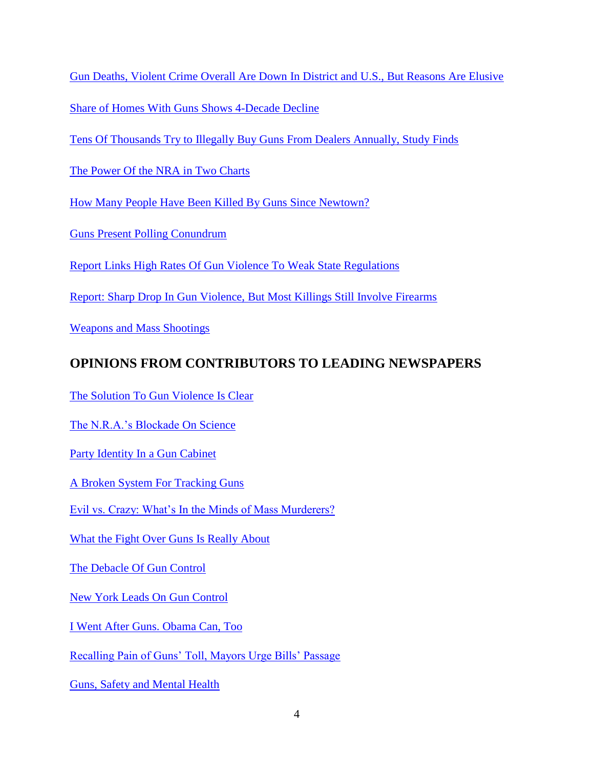[Gun Deaths, Violent Crime Overall Are Down In District and U.S., But Reasons Are Elusive](http://www.washingtonpost.com/national/gun-deaths-violent-crime-overall-are-down-in-district-and-us-but-reasons-are-elusive/2013/03/03/7455ccde-7d24-11e2-a044-676856536b40_story.html)

[Share of Homes With Guns Shows 4-Decade Decline](http://www.nytimes.com/2013/03/10/us/rate-of-gun-ownership-is-down-survey-shows.html?hp&_r=0)

[Tens Of Thousands Try to Illegally Buy Guns From Dealers Annually, Study Finds](http://openchannel.nbcnews.com/_news/2013/03/11/17272111-tens-of-thousands-try-to-illegally-buy-guns-from-dealers-annually-study-finds?chromedomain=usnews)

[The Power Of the NRA in Two Charts](http://www.washingtonpost.com/blogs/the-fix/wp/2013/03/20/the-power-of-the-nra-in-two-charts/)

[How Many People Have Been Killed By Guns Since Newtown?](http://www.slate.com/articles/news_and_politics/crime/2012/12/gun_death_tally_every_american_gun_death_since_newtown_sandy_hook_shooting.html)

[Guns Present Polling Conundrum](http://blogs.wsj.com/numbersguy/guns-present-polling-conundrum-1223/)

[Report Links High Rates Of Gun Violence To Weak State Regulations](http://www.nytimes.com/2013/04/03/us/report-links-high-rates-of-gun-violence-to-weak-laws.html?ref=us)

[Report: Sharp Drop In Gun Violence, But Most Killings Still Involve Firearms](http://www.washingtonpost.com/politics/report-sharp-drop-in-gun-violence-but-most-killings-still-involve-firearms/2013/05/07/28f96904-b694-11e2-92f3-f291801936b8_story.html?hpid=z3)

[Weapons and Mass Shootings](http://www.washingtonpost.com/wp-srv/special/national/weapons-and-mass-shootings/?hpid=z1) 

## **OPINIONS FROM CONTRIBUTORS TO LEADING NEWSPAPERS**

The Solution To [Gun Violence Is Clear](http://articles.washingtonpost.com/2012-12-19/opinions/35929057_1_gun-violence-gun-ownership-tough-gun-laws)

[The N.R.A.'s Blockade On Science](http://opinionator.blogs.nytimes.com/2012/12/20/the-blockade-on-science-on-gun-violence/?ref=opinion)

[Party Identity In a Gun Cabinet](http://fivethirtyeight.blogs.nytimes.com/2012/12/18/in-gun-ownership-statistics-partisan-divide-is-sharp/?hp) 

[A Broken System For Tracking Guns](http://www.nytimes.com/2012/12/31/opinion/a-broken-system-for-tracking-guns.html?hpw)

[Evil vs. Crazy: What's In the Minds of Mass Murderers?](http://www.washingtonpost.com/opinions/in-debating-newtown-massacre-dont-confuse-crazy-and-evil/2013/01/03/4d12eb62-5136-11e2-8b49-64675006147f_story.html?wpisrc=nl_opinions)

[What the Fight Over Guns Is Really About](http://www.nytimes.com/roomfordebate/2013/01/06/what-the-fight-over-guns-is-really-about/?hp)

[The Debacle Of Gun Control](http://www.washingtonpost.com/opinions/richard-cohen-the-debacle-of-gun-control/2013/01/14/313e4c84-5e78-11e2-9940-6fc488f3fecd_story.html?wpisrc=nl_opinions)

[New York Leads On Gun Control](http://www.nytimes.com/2013/01/16/opinion/new-york-leads-on-gun-control.html?ref=opinion)

[I Went After Guns. Obama Can, Too](http://www.nytimes.com/2013/01/17/opinion/australia-banned-assault-weapons-america-can-too.html?hp&_r=0)

[Recalling Pain of Guns' Toll, Mayors Urge Bills' Passage](http://www.nytimes.com/2013/01/18/opinion/the-states-confront-gun-violence.html?hp&_r=0)

[Guns, Safety and Mental Health](http://www.nytimes.com/roomfordebate/2013/01/17/can-mental-health-care-reduce-gun-violence?hp)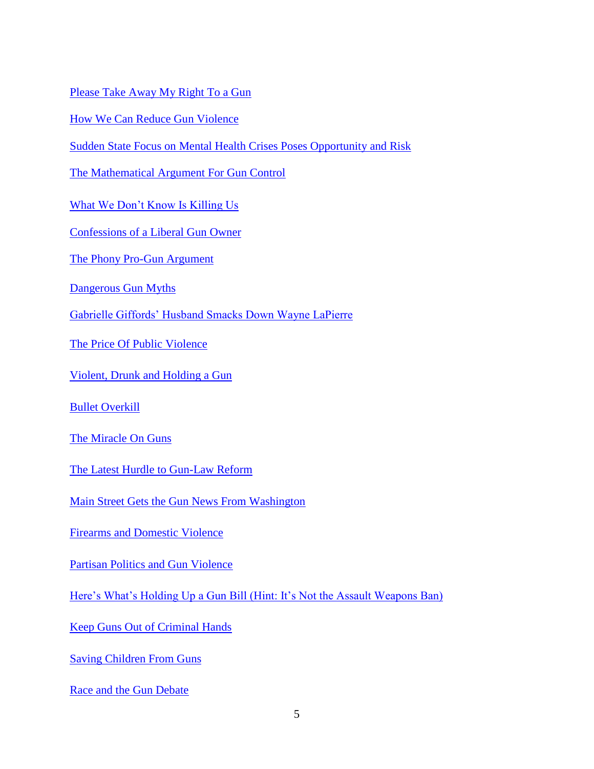[Please Take Away My Right To a Gun](http://www.nytimes.com/2013/01/19/opinion/please-take-away-my-right-to-a-gun.html?hp&_r=1&)

[How We Can Reduce Gun Violence](http://chronicle.com/blogs/conversation/2013/01/08/how-we-can-reduce-gun-violence/)

[Sudden State Focus on Mental Health Crises Poses Opportunity and Risk](http://www.denverpost.com/ci_22416205)

[The Mathematical Argument For Gun Control](http://chronicle.com/blogs/brainstorm/the-mathematical-argument-for-gun-control/50717)

[What We Don't Know Is Killing Us](http://www.nytimes.com/2013/01/27/opinion/sunday/what-we-dont-know-is-killing-us.html?_r=1&)

[Confessions of a Liberal Gun Owner](http://www.nytimes.com/2013/01/28/opinion/confessions-of-a-liberal-gun-owner.html?nl=todaysheadlines&emc=edit_th_20130128)

[The Phony Pro-Gun Argument](http://www.washingtonpost.com/opinions/ruth-marcus-the-phony-pro-gun-argument/2013/01/31/bdf91e5c-6bf1-11e2-ada0-5ca5fa7ebe79_story.html)

[Dangerous Gun Myths](http://www.nytimes.com/2013/02/03/opinion/sunday/dangerous-gun-myths.html?_r=0)

[Gabrielle Giffords' Husband Smacks Down Wayne LaPierre](http://www.washingtonpost.com/blogs/plum-line/wp/2013/01/30/gabrielle-giffords-husband-smacks-down-wayne-lapierre/?tid=pm_pop)

[The Price Of Public Violence](http://www.nytimes.com/2013/02/24/opinion/sunday/the-price-of-public-violence.html?hpw)

Violent, Drunk [and Holding a Gun](http://www.nytimes.com/2013/02/24/opinion/sunday/violent-drunk-and-holding-a-gun.html?hp&_r=1&)

[Bullet Overkill](http://www.washingtonpost.com/opinions/bullet-overkill/2013/02/24/a1b06500-7d41-11e2-a044-676856536b40_story.html)

[The Miracle On Guns](http://www.washingtonpost.com/opinions/ej-dionne-jr-the-miracle-on-guns/2013/02/24/27f963c8-7d51-11e2-9a75-dab0201670da_story.html)

[The Latest Hurdle to Gun-Law Reform](http://www.nytimes.com/2013/02/27/opinion/the-latest-hurdle-to-gun-law-reform.html?ref=opinion)

[Main Street Gets the Gun News From Washington](http://www.nytimes.com/2013/03/04/opinion/newtown-conn-gets-the-gun-news-from-washington.html?ref=politics)

[Firearms and Domestic Violence](http://www.nytimes.com/2013/03/21/opinion/firearms-and-domestic-violence.html?ref=politics&_r=0)

[Partisan Politics and Gun Violence](http://www.nytimes.com/2013/03/15/opinion/partisan-politics-and-gun-violence.html?hp)

[Here's What's Holding Up a Gun Bill \(Hint: It's Not the Assault Weapons Ban\)](http://www.washingtonpost.com/blogs/wonkblog/wp/2013/03/21/heres-whats-holding-up-a-gun-bill/?hpid=z4)

[Keep Guns Out of Criminal Hands](http://www.nytimes.com/2013/03/23/opinion/keep-guns-out-of-criminal-hands.html?hp&_r=0)

[Saving Children From Guns](http://www.nytimes.com/2013/03/23/opinion/nocera-saving-children-from-guns.html?hp)

[Race and the Gun Debate](http://online.wsj.com/article/SB10001424127887323869604578366882484600710.html?mod=hp_opinion)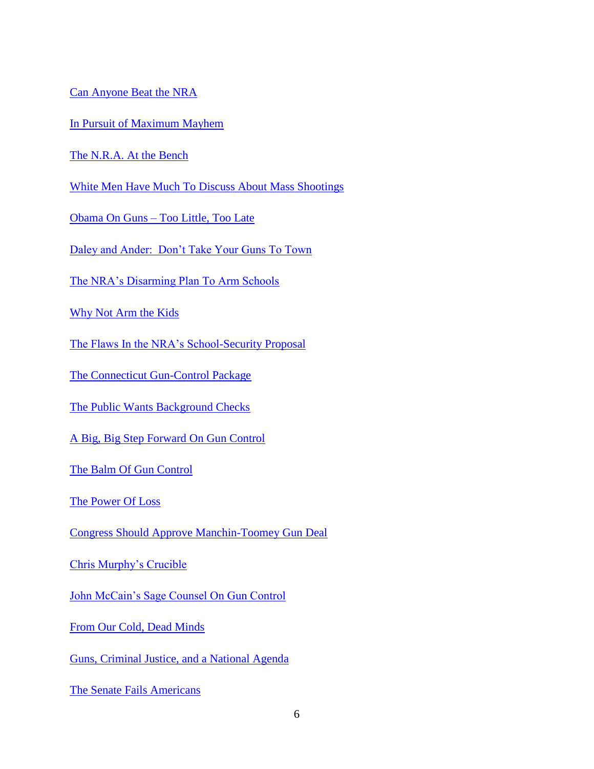[Can Anyone Beat the NRA](http://www.politico.com/story/2013/03/can-anyone-beat-the-nra-89353.html?hp=r2)

[In Pursuit of Maximum Mayhem](http://www.washingtonpost.com/opinions/eugene-robinson-adam-lanza-had-maximum-mayhem-on-his-mind/2013/03/28/bc5ff472-97e2-11e2-b68f-dc5c4b47e519_story.html?wpisrc=nl_opinions)

[The N.R.A. At the Bench](http://opinionator.blogs.nytimes.com/2012/12/26/the-n-r-a-at-the-bench/)

White Men [Have Much To Discuss About Mass Shootings](http://www.washingtonpost.com/opinions/white-men-have-much-to-discuss-about-mass-shootings/2013/03/29/7b001d02-97f3-11e2-814b-063623d80a60_story.html)

Obama On Guns – [Too Little, Too Late](http://www.washingtonpost.com/opinions/dana-milbank-obama-on-guns--too-little-too-late/2013/03/28/93a2287a-97f1-11e2-814b-063623d80a60_story.html)

[Daley and Ander: Don't Take Your Guns To Town](http://online.wsj.com/article/SB10001424127887323605404578383072938628386.html?mod=hp_opinion)

[The NRA's Disarming Plan To Arm Schools](http://www.washingtonpost.com/opinions/dana-milbank-the-nra-displays-its-muscle/2013/04/02/8b548a92-9bd3-11e2-9a79-eb5280c81c63_story.html?hpid=z2)

[Why Not Arm the Kids](http://www.washingtonpost.com/blogs/post-partisan/wp/2013/04/03/why-not-arm-the-kids/#comments)

[The Flaws In the NRA's School-Security Proposal](http://www.washingtonpost.com/opinions/the-nras-faulty-school-security-proposal/2012/12/30/b5b73fc0-5054-11e2-950a-7863a013264b_story.html)

[The Connecticut Gun-Control Package](http://www.nytimes.com/2013/04/03/opinion/the-connecticut-gun-control-package.html?hp)

[The Public Wants Background Checks](http://www.nytimes.com/2013/04/10/opinion/the-public-wants-background-checks-for-gun-sales.html?hp)

[A Big, Big Step Forward On Gun Control](http://www.washingtonpost.com/blogs/plum-line/wp/2013/04/10/a-big-big-step-forward-on-gun-control/?hpid=z3)

[The Balm Of Gun Control](http://www.washingtonpost.com/opinions/kathleen-parker-an-impotent-gun-control-solution/2013/04/09/cb6a6770-a153-11e2-9c03-6952ff305f35_story.html?hpid=z3)

[The Power Of Loss](http://opinionator.blogs.nytimes.com/2013/04/11/the-power-of-loss/?nl=opinion&emc=edit_ty_20130412)

[Congress Should Approve Manchin-Toomey Gun Deal](http://www.washingtonpost.com/opinions/congress-should-approve-manchin-toomey-gun-deal/2013/04/10/dcd0bbdc-a224-11e2-be47-b44febada3a8_story.html?hpid=z8)

[Chris Murphy's Crucible](http://www.nytimes.com/2013/04/14/opinion/sunday/dowd-chris-murphys-gun-control-crucible.html?ref=politics)

[John McCain's Sage Counsel On Gun Control](http://www.washingtonpost.com/opinions/john-mccains-sage-voice-on-gun-control/2013/04/16/b9de0b52-a639-11e2-a8e2-5b98cb59187f_story.html?hpid=z2)

[From Our Cold, Dead Minds](http://www.rochestercitynewspaper.com/rochester/from-our-cold-dead-minds/Content?oid=2213496)

[Guns, Criminal Justice, and a National Agenda](http://www.rochestercitynewspaper.com/rochester/guns-criminal-justiceand-a-national-agenda/Content?oid=2167905)

[The Senate Fails Americans](http://www.nytimes.com/2013/04/18/opinion/the-senate-fails-americans-on-gun-bills.html?hp&_r=0)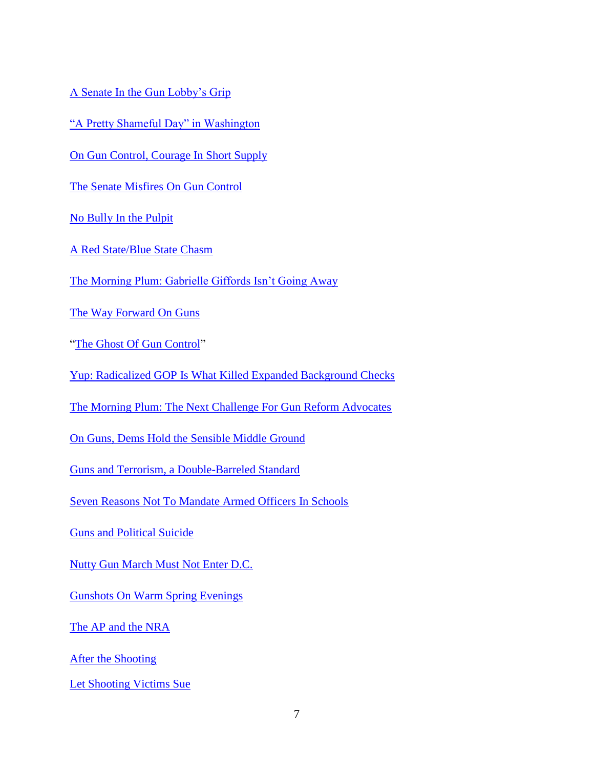[A Senate In the Gun Lobby's Grip](http://www.nytimes.com/2013/04/18/opinion/a-senate-in-the-gun-lobbys-grip.html?hp)

["A Pretty Shameful Day" in Washington](http://takingnote.blogs.nytimes.com/2013/04/17/a-pretty-shameful-day-in-washington/?hp)

[On Gun Control, Courage In Short Supply](http://www.washingtonpost.com/opinions/dana-milbank-on-gun-control-courage-in-short-supply/2013/04/17/d1dee8c2-a7ae-11e2-a8e2-5b98cb59187f_story.html?hpid=z2)

[The Senate Misfires On Gun Control](http://www.washingtonpost.com/opinions/the-senates-cowardly-act-on-gun-control/2013/04/17/d8b4b108-a7aa-11e2-b029-8fb7e977ef71_story.html?hpid=z3)

[No Bully In the Pulpit](http://www.nytimes.com/2013/04/21/opinion/sunday/dowd-president-obama-is-no-bully-in-the-pulpit.html?hp)

[A Red State/Blue State](http://www.washingtonpost.com/opinions/fred-hiatt-the-red-stateblue-state-divide-is-worsening/2013/04/21/df830b7a-a90c-11e2-8302-3c7e0ea97057_story.html?hpid=z2) Chasm

[The Morning Plum: Gabrielle Giffords Isn't Going Away](http://www.washingtonpost.com/blogs/plum-line/wp/2013/04/18/the-morning-plum-gabrielle-giffords-isnt-going-away/?hpid=z3)

[The Way Forward On Guns](http://www.washingtonpost.com/opinions/ej-dionne-the-way-forward-on-guns/2013/04/21/ab74052a-a923-11e2-8302-3c7e0ea97057_story.html)

["The Ghost Of Gun Control"](http://www.nytimes.com/2013/04/20/opinion/the-ghost-of-gun-control.html?ref=opinion)

[Yup: Radicalized GOP Is What Killed Expanded Background Checks](http://www.washingtonpost.com/blogs/plum-line/wp/2013/04/23/yup-radicalized-gop-is-what-killed-expanded-background-checks/?hpid=z3)

[The Morning Plum: The Next Challenge For Gun Reform Advocates](http://www.washingtonpost.com/blogs/plum-line/wp/2013/04/24/the-morning-plum-the-next-challenge-for-gun-reform-advocates/)

[On Guns, Dems Hold the Sensible Middle Ground](http://www.washingtonpost.com/blogs/plum-line/wp/2013/04/24/on-guns-dems-hold-the-sensible-middle-ground/?hpid=z2)

[Guns and Terrorism, a Double-Barreled Standard](http://www.washingtonpost.com/opinions/eugene-robinson-guns-and-terrorism-a-double-barreled-standard/2013/04/22/7247571c-ab84-11e2-b6fd-ba6f5f26d70e_story.html?hpid=z2)

[Seven Reasons Not To Mandate Armed Officers In Schools](http://blog.metrotrends.org/2013/04/reasons-mandate-armed-officers-schools/)

[Guns and Political Suicide](http://opinionator.blogs.nytimes.com/2013/05/01/guns-and-political-suicide/?hp)

[Nutty Gun March Must Not Enter D.C.](http://www.washingtonpost.com/blogs/post-partisan/wp/2013/05/08/nutty-gun-march-must-not-enter-d-c/?hpid=z2)

[Gunshots On Warm Spring Evenings](http://www.nytimes.com/2013/05/17/opinion/gunshots-on-warm-spring-evenings.html?nl=todaysheadlines&emc=edit_th_20130517&_r=1&)

[The AP and the NRA](http://www.politico.com/story/2013/05/the-ap-the-nra-91456.html?hp=r2)

[After the Shooting](http://www.nytimes.com/2013/06/13/opinion/nocera-after-the-shooting.html?hp)

[Let Shooting Victims Sue](http://www.nytimes.com/2013/06/24/opinion/let-shooting-victims-sue.html?hp)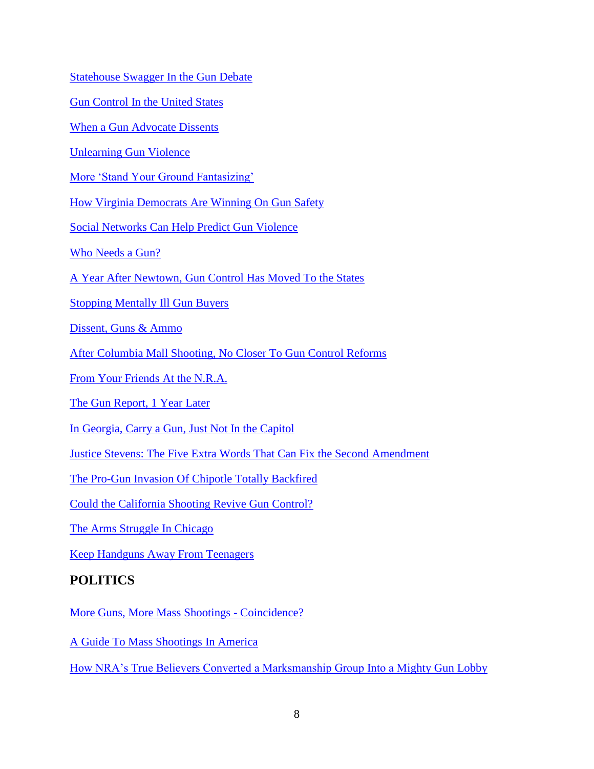[Statehouse Swagger In the Gun Debate](http://www.nytimes.com/2013/08/30/opinion/statehouse-swagger-in-the-gun-debate.html?hp&_r=0)

[Gun Control In the United States](http://www.washingtonpost.com/opinions/gun-control-in-the-united-states/2013/08/29/0f08648c-0e96-11e3-a2b3-5e107edf9897_story.html)

[When a Gun Advocate Dissents](http://www.nytimes.com/2013/11/09/opinion/when-a-gun-advocate-dissents.html?_r=1&hp=&adxnnl=1&rref=opinion&adxnnlx=1384035067-teG/ZDnhGgKBBwHvf4zZ/g&) 

[Unlearning Gun Violence](http://www.nytimes.com/2013/11/12/opinion/nocera-unlearning-gun-violence.html?ref=opinion) 

[More 'Stand Your Ground Fantasizing'](http://www.nytimes.com/2013/11/24/opinion/sunday/more-stand-your-ground-fantasizing.html?ref=opinion) 

[How Virginia Democrats Are Winning On Gun Safety](http://www.thedailybeast.com/articles/2013/10/30/how-virginia-democrats-are-winning-on-gun-safety.html#url=/articles/2013/10/30/how-virginia-democrats-are-winning-on-gun-safety.html) 

[Social Networks Can Help Predict Gun Violence](http://www.washingtonpost.com/opinions/social-networks-can-help-predict-gun-violence/2013/12/03/a15b8244-5c46-11e3-be07-006c776266ed_story.html?hpid=z3) 

[Who Needs a Gun?](http://opinionator.blogs.nytimes.com/2013/12/10/who-needs-a-gun/?_r=0) 

[A Year After Newtown, Gun Control Has Moved To the States](http://www.washingtonpost.com/opinions/a-year-after-newtown-gun-control-has-moved-to-the-states/2013/12/12/68d821fe-61ee-11e3-94ad-004fefa61ee6_story.html) 

[Stopping Mentally Ill Gun Buyers](http://www.nytimes.com/2014/01/04/opinion/stopping-mentally-ill-gun-buyers.html) 

[Dissent, Guns & Ammo](http://www.nytimes.com/2014/01/16/opinion/dissent-guns-ammo.html?action=click&contentCollection=Great%20Homes%20and%20Destinations) 

[After Columbia Mall Shooting, No Closer To Gun Control Reforms](http://www.washingtonpost.com/opinions/dana-milbank-after-columbia-mall-shooting-no-closer-to-gun-control-reforms/2014/01/27/8bc0f030-879e-11e3-916e-e01534b1e132_story.html?hpid=z2) 

[From Your Friends At the N.R.A.](http://www.nytimes.com/2014/01/28/opinion/nocera-from-your-friends-at-the-nra.html?ref=opinion&_r=0) 

[The Gun Report, 1 Year Later](http://www.nytimes.com/2014/02/04/opinion/nocera-the-gun-report-1-year-later.html?hp&rref=opinion&_r=0) 

[In Georgia, Carry a Gun, Just Not In the Capitol](http://www.nytimes.com/2014/03/26/opinion/in-georgia-carry-a-gun-just-not-in-the-capitol.html?hp&rref=opinion&_r=1)

[Justice Stevens: The Five Extra Words That Can Fix the Second Amendment](http://www.washingtonpost.com/opinions/the-five-extra-words-that-can-fix-the-second-amendment/2014/04/11/f8a19578-b8fa-11e3-96ae-f2c36d2b1245_story.html?hpid=z1) 

[The Pro-Gun Invasion Of Chipotle Totally Backfired](http://www.huffingtonpost.com/2014/05/20/chipotle-no-guns-allowed_n_5358483.html) 

[Could the California Shooting Revive Gun Control?](http://www.washingtonpost.com/blogs/plum-line/wp/2014/05/26/could-the-california-shooting-revive-gun-control/?hpid=z3) 

[The Arms Struggle In Chicago](http://www.nytimes.com/2014/05/30/opinion/the-arms-struggle-in-chicago.html?hp&rref=opinion&_r=0) 

[Keep Handguns Away From Teenagers](http://takingnote.blogs.nytimes.com/2014/05/30/keep-handguns-away-from-teenagers/?_php=true&_type=blogs&_php=true&_type=blogs&hp&rref=opinion&_r=1) 

#### **POLITICS**

[More Guns, More Mass Shootings -](http://www.motherjones.com/politics/2012/09/mass-shootings-investigation) Coincidence?

[A Guide To Mass Shootings In America](http://www.motherjones.com/politics/2012/07/mass-shootings-map?page=2)

[How NRA's True Believers Converted a Marksmanship Group Into a Mighty Gun Lobby](http://www.washingtonpost.com/politics/how-nras-true-believers-converted-a-marksmanship-group-into-a-mighty-gun-lobby/2013/01/12/51c62288-59b9-11e2-88d0-c4cf65c3ad15_story.html)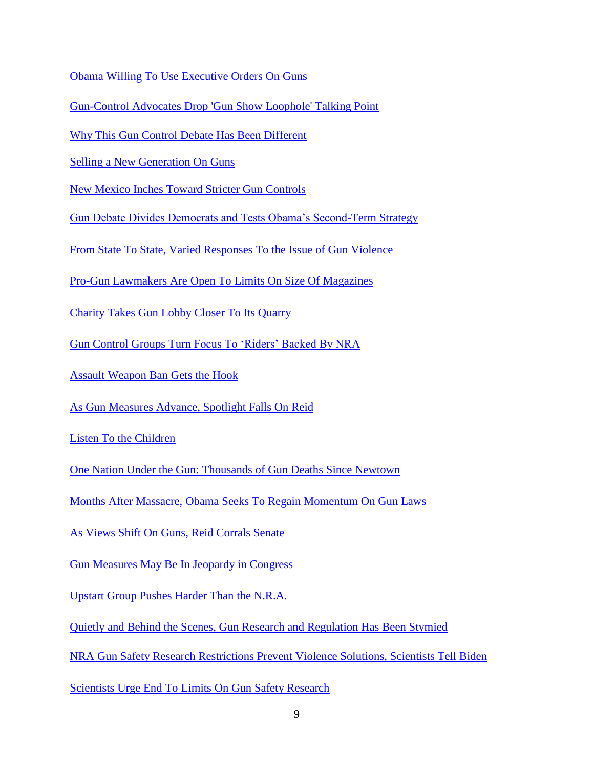[Obama Willing To Use Executive Orders On Guns](http://www.nytimes.com/2013/01/15/us/politics/biden-meets-with-house-democrats-on-gun-violence-proposals.html?ref=us&_r=1&)

[Gun-Control Advocates Drop 'Gun Show Loophole' Talking Point](http://www.governing.com/blogs/politics/gov-gun-control-advocates-drop-gun-show-loophole-talking-point.html)

[Why This Gun Control Debate Has Been Different](http://www.washingtonpost.com/blogs/wonkblog/wp/2013/01/28/why-this-gun-control-debate-has-been-different/)

[Selling a New Generation On Guns](http://www.nytimes.com/2013/01/27/us/selling-a-new-generation-on-guns.html?hp&_r=0)

[New Mexico Inches Toward Stricter Gun Controls](http://www.nytimes.com/2013/02/11/us/politics/new-mexico-inches-toward-stricter-gun-controls.html)

[Gun Debate Divides Democrats and Tests Obama's Second-Term Strategy](http://www.washingtonpost.com/politics/gun-debate-divides-democrats-and-tests-obamas-second-term-strategy/2013/02/10/99c840a2-716a-11e2-ac36-3d8d9dcaa2e2_story.html)

[From State To State, Varied Responses To the Issue of Gun Violence](http://www.nytimes.com/2013/02/04/us/politics/varied-state-responses-to-issue-of-gun-violence.html?hp&_r=0)

[Pro-Gun Lawmakers Are Open To Limits On Size Of Magazines](http://www.nytimes.com/2013/02/19/us/politics/lawmakers-look-at-ban-on-high-capacity-gun-magazines.html?nl=todaysheadlines&emc=edit_th_20130219)

[Charity Takes Gun Lobby Closer To Its Quarry](http://www.nytimes.com/2013/03/07/us/politics/congressional-sportsmens-foundation-promotes-gun-lobby-access.html?ref=us&_r=1&)

Gun Control Groups [Turn Focus To 'Riders' Backed By NRA](http://www.washingtonpost.com/politics/gun-control-groups-turn-focus-to-riders-backed-by-nra/2013/03/18/14a76574-8ffb-11e2-9cfd-36d6c9b5d7ad_story.html?hpid=z3)

Assault [Weapon Ban Gets the Hook](http://www.washingtonpost.com/blogs/post-partisan/wp/2013/03/20/assault-weapons-ban-gets-the-hook/?hpid=z2)

[As Gun Measures Advance, Spotlight Falls On Reid](http://www.nytimes.com/2013/03/16/us/politics/as-gun-bills-advance-spotlight-falls-on-reid.html?hp)

[Listen To the Children](http://www.huffingtonpost.com/marian-wright-edelman/listen-to-the-children_b_2936730.html)

[One Nation Under the Gun: Thousands of Gun Deaths Since Newtown](http://www.huffingtonpost.com/2013/03/22/gun-deaths-us-newtown_n_2935686.html)

[Months After Massacre, Obama Seeks To Regain Momentum On Gun Laws](http://www.nytimes.com/2013/03/29/us/politics/obama-makes-impassioned-plea-for-gun-control.html?ref=politics)

[As Views Shift On Guns, Reid Corrals Senate](http://www.nytimes.com/2013/04/01/us/politics/harry-reid-draws-on-political-calculus-as-he-leads-senate.html?hp&_r=0)

[Gun Measures May Be In Jeopardy in Congress](http://www.washingtonpost.com/politics/firearms-advocates-target-gun-control-measures/2013/04/01/07d3a29a-9afa-11e2-9a79-eb5280c81c63_story.html?hpid=z1)

[Upstart Group Pushes Harder Than the N.R.A.](http://www.nytimes.com/2013/04/04/us/politics/gun-owners-of-america-a-lobbying-group-grows-in-influence.html?hp&_r=0)

[Quietly and Behind the Scenes, Gun Research and Regulation Has Been Stymied](http://www.mcclatchydc.com/2013/04/02/187543/quietly-and-behind-the-scenes.html)

[NRA Gun Safety Research Restrictions Prevent Violence Solutions, Scientists Tell Biden](http://www.huffingtonpost.com/2013/01/10/nra-gun-safety_n_2449591.html)

[Scientists Urge End To Limits On Gun Safety Research](http://www.reuters.com/article/2013/01/10/us-usa-guns-scientists-idUSBRE90915F20130110)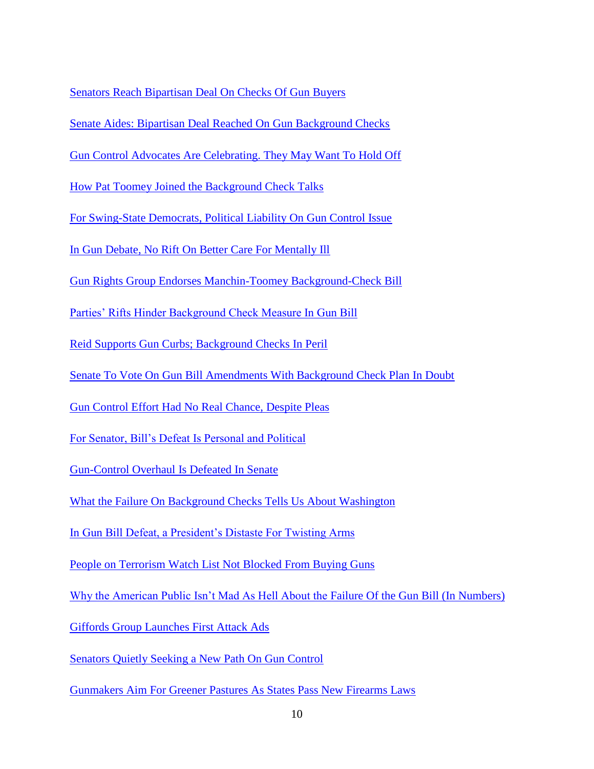[Senators Reach Bipartisan Deal On Checks Of Gun Buyers](http://www.nytimes.com/2013/04/11/us/politics/compromise-on-background-checks.html?hp)

[Senate Aides: Bipartisan Deal Reached On Gun Background Checks](http://www.washingtonpost.com/politics/senate-aides-bipartisan-deal-reached-on-gun-background-checks/2013/04/10/fa4fe9a6-a1db-11e2-be47-b44febada3a8_story.html?hpid=z1)

[Gun Control Advocates Are Celebrating. They May Want To Hold Off](http://www.washingtonpost.com/blogs/the-fix/wp/2013/04/10/gun-control-advocates-are-celebrating-they-might-want-to-hold-off/?hpid=z2)

[How Pat Toomey Joined the Background Check Talks](http://www.washingtonpost.com/blogs/post-politics/wp/2013/04/11/how-pat-toomey-joined-the-background-check-talks/?hpid=z3)

[For Swing-State Democrats, Political Liability On Gun Control Issue](http://www.nytimes.com/2013/04/12/us/politics/perils-for-swing-state-democrats-on-gun-control.html?ref=us)

[In Gun Debate, No Rift On Better Care For Mentally Ill](http://www.nytimes.com/2013/04/13/us/politics/senators-make-bipartisan-push-for-mental-health-care.html?ref=politics)

Gun Rights Group Endorses [Manchin-Toomey Background-Check Bill](http://www.washingtonpost.com/politics/gun-rights-group-endorses-manchin-toomey-background-check-bill/2013/04/14/f4ae8ae8-a51e-11e2-8302-3c7e0ea97057_story.html)

[Parties' Rifts Hinder Background Check Measure In Gun Bill](http://www.nytimes.com/2013/04/15/us/politics/party-rifts-complicate-chances-for-gun-bill-passage.html?hp&_r=0)

[Reid Supports Gun Curbs; Background Checks In Peril](http://www.nytimes.com/2013/04/18/us/politics/reid-says-he-will-vote-for-assault-weapons-ban.html?hp)

[Senate To Vote On Gun Bill Amendments With Background Check Plan In Doubt](http://www.washingtonpost.com/blogs/post-politics/wp/2013/04/17/senate-to-vote-on-amendments-to-gun-bill-with-background-check-plan-in-doubt/?hpid=z1)

Gun Control Effort Had [No Real Chance, Despite Pleas](http://www.nytimes.com/2013/04/18/us/politics/despite-tearful-pleas-no-real-chance.html?hp)

[For Senator, Bill's Defeat Is Personal and Political](http://www.nytimes.com/2013/04/18/us/politics/for-feinstein-gun-control-measures-defeat-was-personal.html)

[Gun-Control Overhaul Is Defeated In Senate](http://www.washingtonpost.com/politics/gun-control-overhaul-is-defeated-in-senate/2013/04/17/57eb028a-a77c-11e2-b029-8fb7e977ef71_story.html?hpid=z1)

[What the Failure On Background Checks Tells Us About Washington](http://www.washingtonpost.com/blogs/the-fix/wp/2013/04/17/what-the-failure-on-background-checks-tells-us-about-washington/?tid=pm_politics_pop)

[In Gun Bill Defeat, a President's Distaste For Twisting Arms](http://www.nytimes.com/2013/04/23/us/politics/in-gun-bill-defeat-a-president-who-hesitates-to-twist-arms.html?hp&_r=0)

[People on Terrorism Watch List Not Blocked From Buying Guns](http://www.npr.org/blogs/itsallpolitics/2013/04/24/178668578/people-on-terror-watch-list-not-blocked-from-buying-guns)

[Why the American Public Isn't Mad As Hell About the Failure Of the Gun Bill \(In](http://www.washingtonpost.com/blogs/the-fix/wp/2013/04/24/why-the-american-public-isnt-mad-as-hell-about-the-failure-of-the-gun-bill-in-numbers/?hpid=z1) Numbers)

[Giffords Group Launches First Attack Ads](http://www.washingtonpost.com/blogs/post-politics/wp/2013/04/24/giffords-group-launches-first-attack-ads/)

[Senators Quietly Seeking a New Path On Gun Control](http://www.nytimes.com/2013/04/26/us/politics/senators-quietly-seek-a-new-path-on-gun-control.html?hp)

Gunmakers Aim [For Greener Pastures As States Pass New Firearms Laws](http://www.foxnews.com/politics/2013/04/29/gun-manufacturers-start-leaving-states-that-passed-new-gun-control-laws/?intcmp=trending)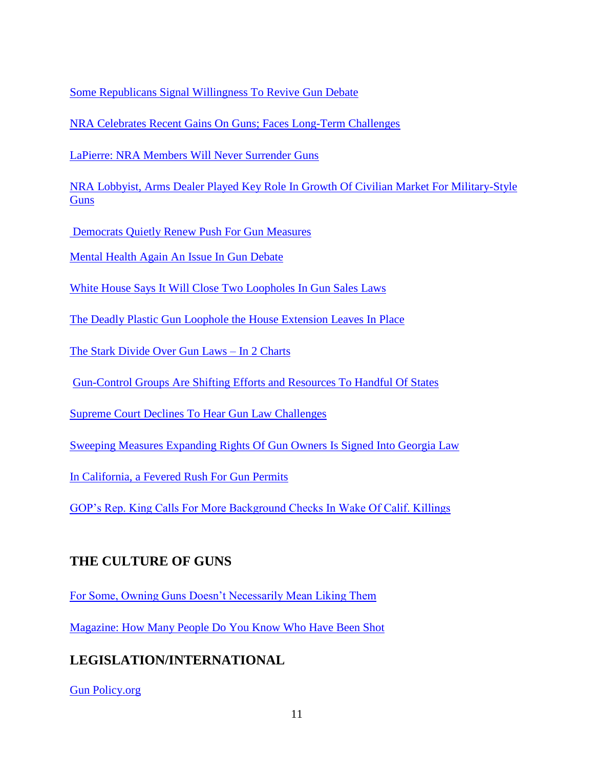[Some Republicans Signal Willingness To Revive Gun Debate](http://www.washingtonpost.com/blogs/post-politics/wp/2013/05/06/at-least-two-senate-republicans-want-to-talk-again-about-guns/)

NRA Celebrates Recent Gains On [Guns; Faces Long-Term Challenges](http://www.washingtonpost.com/politics/nra-celebrates-recent-gains-on-guns-faces-long-term-challenges/2013/05/06/ae4444c2-b66b-11e2-92f3-f291801936b8_story_1.html)

[LaPierre: NRA Members Will Never Surrender Guns](http://www.washingtonpost.com/politics/lapierre-nra-members-will-never-surrender-guns/2013/05/04/b96ba27a-b501-11e2-bbf2-a6f9e9d79e19_story.html)

NRA Lobbyist, Arms Dealer Played [Key Role In Growth Of Civilian Market For Military-Style](http://www.washingtonpost.com/politics/nra-lobbyist-arms-dealer-played-key-role-in-growth-of-civilian-market-for-military-style-guns/2013/05/03/4ee1945a-b268-11e2-baf7-5bc2a9dc6f44_story.html)  **[Guns](http://www.washingtonpost.com/politics/nra-lobbyist-arms-dealer-played-key-role-in-growth-of-civilian-market-for-military-style-guns/2013/05/03/4ee1945a-b268-11e2-baf7-5bc2a9dc6f44_story.html)** 

[Democrats Quietly Renew Push For Gun Measures](http://www.nytimes.com/2013/06/14/us/politics/democrats-quietly-renew-push-for-gun-measures.html?ref=us)

[Mental Health Again An Issue In Gun Debate](http://www.nytimes.com/2013/09/19/us/politics/mental-health-again-an-issue-in-gun-debate.html?hp&_r=0)

[White House Says It Will Close Two Loopholes In Gun Sales Laws](http://www.washingtonpost.com/politics/white-house-says-it-will-close-two-loopholes-in-gun-sales-laws/2013/08/29/ad50a376-10c5-11e3-85b6-d27422650fd5_story.html)

[The Deadly Plastic Gun Loophole the House Extension Leaves In Place](http://www.thedailybeast.com/articles/2013/12/04/the-deadly-plastic-gun-loophole-the-house-extension-leaves-in-place.html#url=/articles/2013/12/04/the-deadly-plastic-gun-loophole-the-house-extension-leaves-in-place.html) 

[The Stark Divide Over Gun Laws –](http://www.washingtonpost.com/blogs/the-fix/wp/2013/10/25/the-stark-divide-over-guns-laws-in-two-charts/?hpid=z9) In 2 Charts

[Gun-Control Groups Are Shifting Efforts](http://www.washingtonpost.com/politics/gun-control-groups-are-shifting-efforts-and-resources-to-handful-of-states/2013/12/11/f81e41b2-61f4-11e3-8beb-3f9a9942850f_story.html?hpid=z3) and Resources To Handful Of States

[Supreme Court Declines To Hear Gun Law Challenges](http://www.washingtonpost.com/politics/supreme-court-declines-to-hear-gun-law-challenges/2014/02/24/9e310a34-9cc0-11e3-975d-107dfef7b668_story.html) 

[Sweeping Measures Expanding Rights Of](http://www.nytimes.com/2014/04/24/us/politics/sweeping-measure-expanding-rights-of-gun-owners-is-signed-into-georgia-law.html?hp) Gun Owners Is Signed Into Georgia Law

[In California, a Fevered Rush For Gun Permits](http://www.nytimes.com/2014/04/27/us/politics/in-california-a-fevered-rush-for-gun-permits.html?ref=us) 

[GOP's Rep. King Calls For More Background Checks In Wake Of Calif. Killings](http://www.washingtonpost.com/blogs/post-politics/wp/2014/05/25/gops-rep-king-calls-for-more-background-checks-in-wake-of-calif-killings/?tid=hpModule_f8335a3c-868c-11e2-9d71-f0feafdd1394&hpid=z9) 

#### **THE CULTURE OF GUNS**

[For Some, Owning Guns Doesn't Necessarily Mean Liking Them](http://www.nytimes.com/2013/03/10/us/gun-owners-arent-always-gun-lovers.html?hp&_r=0)

[Magazine: How Many People Do You Know Who Have Been Shot](http://www.washingtonpost.com/blogs/liveblog/wp/2013/03/07/magazine-how-many-people-do-you-know-who-have-been-shot/?hpid=z1)

# **LEGISLATION/INTERNATIONAL**

[Gun Policy.org](http://www.gunpolicy.org/firearms/home)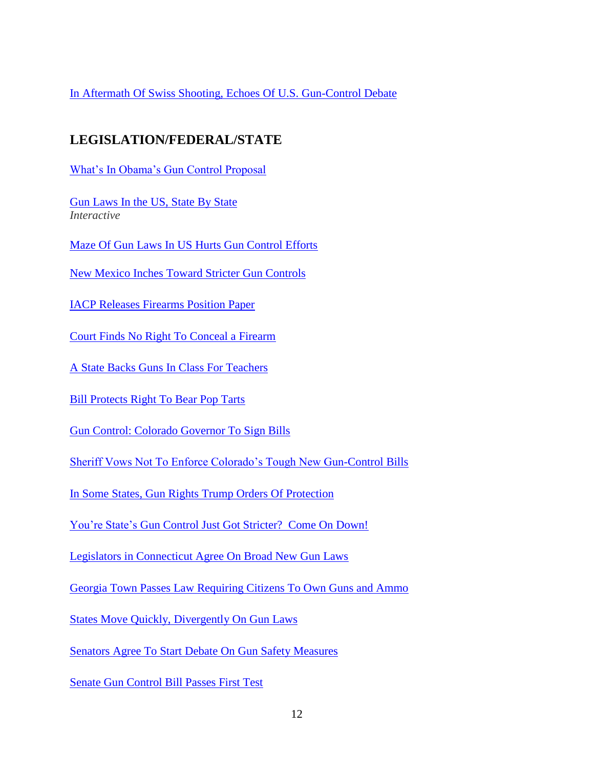[In Aftermath Of Swiss Shooting, Echoes Of U.S. Gun-Control Debate](http://www.washingtonpost.com/world/europe/in-aftermath-of-swiss-shooting-echoes-of-us-gun-control-debate/2013/02/07/38457624-6e1d-11e2-ac36-3d8d9dcaa2e2_story.html?wpisrc=emailtoafriend)

# **LEGISLATION/FEDERAL/STATE**

[What's In Obama's Gun Control Proposal](http://www.nytimes.com/interactive/2013/01/16/us/obama-gun-control-proposal.html)

[Gun Laws In the US, State By State](http://www.guardian.co.uk/world/interactive/2013/jan/15/gun-laws-united-states) *Interactive*

[Maze Of Gun Laws In US Hurts Gun Control Efforts](http://news.yahoo.com/maze-gun-laws-us-hurts-gun-control-efforts-084727418.html)

New [Mexico Inches Toward Stricter Gun Controls](http://www.nytimes.com/2013/02/11/us/politics/new-mexico-inches-toward-stricter-gun-controls.html)

[IACP Releases Firearms Position Paper](http://www.policechiefmagazine.org/magazine/index.cfm?fuseaction=display&issue_id=22013&category_ID=5)

Court Finds No [Right To Conceal a Firearm](http://www.nytimes.com/2013/02/24/us/court-finds-no-right-to-conceal-a-firearm.html?ref=politics)

[A State Backs Guns In Class For Teachers](http://www.nytimes.com/2013/03/09/us/south-dakota-gun-law-classrooms.html?ref=us)

[Bill Protects Right To Bear Pop Tarts](http://www.politico.com/story/2013/03/bill-protects-right-to-bear-pop-tarts-88691.html?hp=l12)

[Gun Control: Colorado Governor To Sign Bills](http://www.politico.com/story/2013/03/report-colo-governor-to-sign-gun-bills-89038.html?hp=r14)

[Sheriff Vows Not To Enforce Colorado's Tough New Gun-Control Bills](http://www.csmonitor.com/USA/2013/0318/Sheriff-vows-not-to-enforce-Colorado-s-tough-new-gun-control-bills?nav=87-frontpage-entryNineItem)

In Some States, Gun [Rights Trump Orders Of Protection](http://www.nytimes.com/2013/03/18/us/facing-protective-orders-and-allowed-to-keep-guns.html?hp&_r=1&)

You're State's [Gun Control Just Got Stricter? Come On Down!](http://www.nytimes.com/2013/03/31/us/your-states-gun-control-just-got-stricter-come-on-down.html?src=recg)

[Legislators in Connecticut Agree On Broad New Gun Laws](http://www.nytimes.com/2013/04/02/nyregion/connecticut-legislators-agree-on-far-reaching-gun-control.html?hp&_r=0)

[Georgia Town Passes Law Requiring Citizens To Own Guns and Ammo](http://usnews.nbcnews.com/_news/2013/04/02/17567999-georgia-town-passes-law-requiring-citizens-to-own-guns-and-ammo?lite)

[States Move Quickly, Divergently On Gun Laws](http://www.latimes.com/news/nationworld/nation/la-na-gun-laws-20130404,0,1900611.story)

[Senators Agree To Start Debate On Gun Safety Measures](http://www.nytimes.com/2013/04/12/us/senate-votes-to-allow-debate-on-gun-bill.html?hp&_r=0)

[Senate Gun Control Bill Passes First Test](http://www.politico.com/story/2013/04/senate-gun-control-bill-passes-first-test-89949.html?hp=t3_3)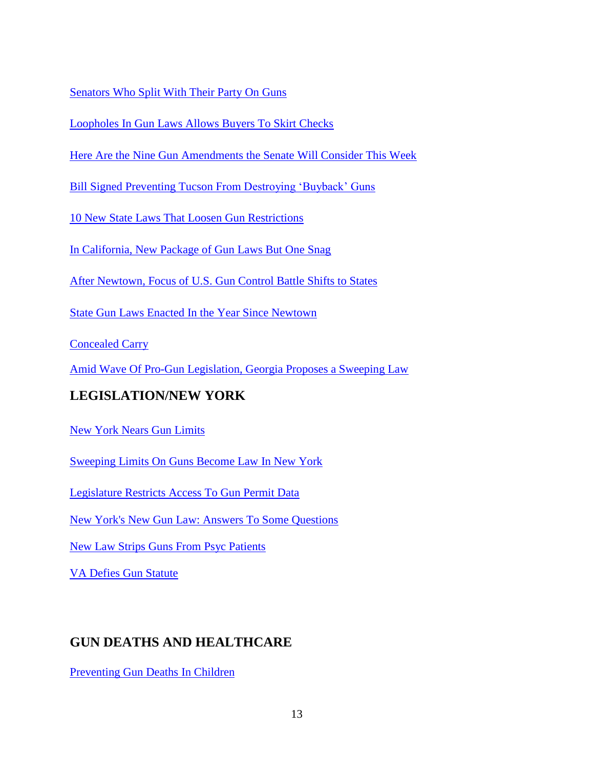[Senators Who Split With Their Party On Guns](http://www.politico.com/story/2013/04/gun-control-how-senators-voted-89950.html?hp=r5)

[Loopholes In Gun Laws Allows Buyers To Skirt Checks](http://www.nytimes.com/2013/04/11/us/gun-law-loopholes-let-buyers-skirt-background-checks.html?ref=us)

[Here Are the Nine Gun Amendments the Senate Will Consider This Week](http://www.washingtonpost.com/blogs/wonkblog/wp/2013/04/17/here-are-the-nine-gun-bill-amendments-the-senate-will-vote-on-this-week/?hpid=z2)

Bill Signed Preventing Tucson [From Destroying 'Buyback' Guns](http://azstarnet.com/news/local/govt-and-politics/bill-signed-preventing-tucson-from-destroying-buyback-guns/article_99e10484-5310-5289-8f0f-c5e9e21d12e8.html)

[10 New State Laws That Loosen Gun Restrictions](http://www.governing.com/blogs/view/10-new-laws-that-loosen-states-gun-restrictions.html)

[In California, New Package of Gun Laws But One Snag](http://www.nytimes.com/2013/10/12/us/in-california-new-package-of-gun-laws-but-one-snag.html?ref=us&_r=1&)

[After Newtown, Focus of U.S. Gun Control Battle Shifts to States](http://www.nytimes.com/reuters/2013/12/09/us/09reuters-usa-shooting-connecticut-guncontrol.html?hp) 

State Gun [Laws Enacted In the Year Since](http://www.nytimes.com/interactive/2013/12/10/us/state-gun-laws-enacted-in-the-year-since-newtown.html?hp) Newtown

[Concealed Carry](http://www.politico.com/magazine/story/2013/12/gun-law-concealed-carry-permit-utah-101113.html?ml=po_r) 

[Amid Wave Of Pro-Gun Legislation, Georgia Proposes a Sweeping Law](http://www.nytimes.com/2014/03/25/us/amid-wave-of-pro-gun-legislation-georgia-proposes-sweeping-law.html?ref=us) 

# **LEGISLATION/NEW YORK**

[New York Nears Gun Limits](http://online.wsj.com/article/SB10001424127887324595704578242253004271978.html?mod=WSJ_hpp_MIDDLENexttoWhatsNewsThird)

[Sweeping Limits On Guns Become Law In New York](http://www.nytimes.com/2013/01/16/nyregion/tougher-gun-law-in-new-york.html?ref=nyregion)

[Legislature Restricts Access To Gun Permit Data](http://www.nytimes.com/2013/01/16/nyregion/new-yorks-new-gun-law-restricts-public-access-to-permit-data.html?ref=nyregion)

[New York's New Gun Law: Answers To Some Questions](http://www.syracuse.com/news/index.ssf/2013/01/details_about_new_yorks_new_gu.html)

[New Law Strips Guns From](http://blogs.wsj.com/metropolis/2013/03/05/new-law-strips-guns-from-psych-patients/?mod=WSJBlog&mod=WSJ_NY_NY_Blog) Psyc Patients

[VA Defies Gun Statute](http://www.timesunion.com/local/article/VA-defies-gun-statute-4345774.php)

# **GUN DEATHS AND HEALTHCARE**

[Preventing Gun Deaths In Children](http://www.nejm.org/doi/full/10.1056/NEJMp1215606?query=TOC&)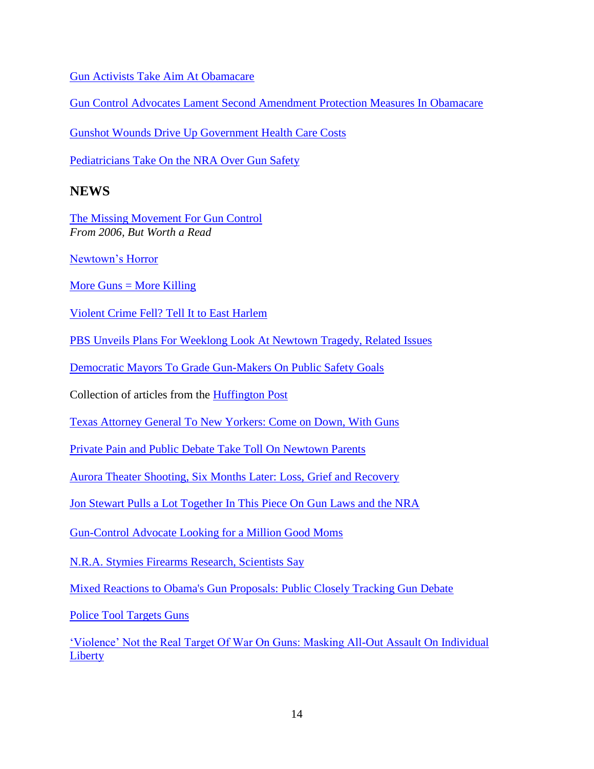[Gun Activists Take Aim At](http://www.motherjones.com/politics/2009/12/gun-activists-take-aim-obamacare) Obamacare

[Gun Control Advocates Lament Second Amendment Protection Measures In](http://www.inquisitr.com/462527/gun-control-advocates-lament-second-amendment-protection-measures-in-obamacare/) Obamacare

[Gunshot Wounds Drive Up Government Health Care Costs](http://www.usatoday.com/story/news/nation/2013/03/04/gunshot-wounds-medicaid-insurance-costs/1956445/)

[Pediatricians Take On the NRA Over Gun Safety](http://www.thedailybeast.com/articles/2014/05/15/pediatricians-take-on-the-nra-over-gun-safety.html) 

#### **NEWS**

[The Missing Movement For Gun Control](http://chronicle.com/article/The-Missing-Movement-for-Gun/32856/) *From 2006, But Worth a Read*

[Newtown's Horror](http://www.economist.com/news/leaders/21568735-only-drastic-gun-control-could-make-big-difference-small-measures-can-help-bit-newtowns?fsrc=scn/tw/te/pe/newtownshorror)

More Guns  $=$  More Killing

[Violent Crime Fell? Tell It to East Harlem](http://www.nytimes.com/2013/01/06/nyregion/violent-crime-fell-tell-it-to-east-harlem.html?ref=nyregion)

[PBS Unveils Plans For Weeklong Look At Newtown Tragedy, Related Issues](http://www.washingtonpost.com/lifestyle/style/pbs-unveils-plans-for-weeklong-look-at-newtown-tragedy-related-issues/2013/01/14/0fb05678-5e9d-11e2-90a0-73c8343c6d61_story.html)

[Democratic Mayors To Grade Gun-Makers On Public Safety Goals](http://www.politico.com/story/2013/01/dem-mayors-to-grade-gun-makers-on-safety-goals-86437.html)

Collection of articles from the [Huffington Post](http://www.huffingtonpost.com/news/sandy-hook-elementary-school-shooting/)

[Texas Attorney General To New Yorkers: Come on Down, With Guns](http://www.nytimes.com/2013/01/21/us/texas-attorney-general-invites-new-yorkers-to-bring-their-guns.html?nl=nyregion&emc=edit_ur_20130121&_r=0)

[Private Pain and Public Debate Take Toll On Newtown Parents](http://www.nytimes.com/2013/01/21/nyregion/newtown-families-negotiate-private-pain-amid-public-debate.html?pagewanted=1&nl=nyregion&emc=edit_ur_20130121)

[Aurora Theater Shooting, Six Months Later: Loss, Grief and Recovery](http://www.denverpost.com/theatershooting/ci_22406044/aurora-theater-shooting-six-month-later-loss-grief-recovery)

[Jon Stewart Pulls a Lot Together In This Piece On Gun Laws and the NRA](http://www.thedailyshow.com/watch/wed-january-16-2013/there-goes-the-boom)

[Gun-Control Advocate Looking for a Million Good Moms](http://cityroom.blogs.nytimes.com/2013/01/20/gun-control-advocate-looking-for-a-million-good-moms/?ref=nyregion)

[N.R.A. Stymies Firearms Research, Scientists Say](http://www.nytimes.com/2011/01/26/us/26guns.html?pagewanted=all)

[Mixed Reactions to Obama's Gun Proposals: Public Closely Tracking Gun Debate](http://www.people-press.org/2013/01/22/mixed-reactions-to-obamas-gun-proposals/1/)

[Police Tool Targets Guns](http://online.wsj.com/article/SB10001424127887323539804578260261579068182.html)

['Violence' Not the Real Target Of War On Guns: Masking All-Out Assault On Individual](http://www.washingtontimes.com/news/2013/jan/22/violence-not-real-target-war-guns/)  **[Liberty](http://www.washingtontimes.com/news/2013/jan/22/violence-not-real-target-war-guns/)**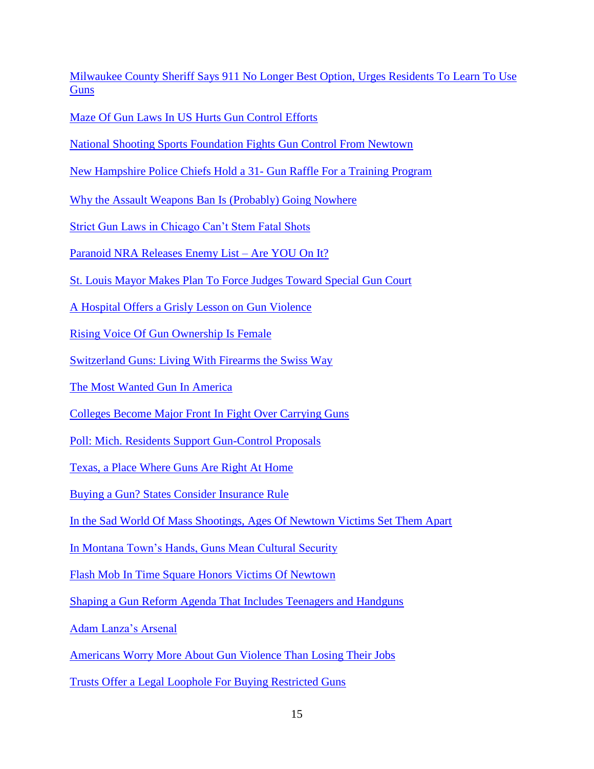[Milwaukee County Sheriff Says 911 No Longer Best Option, Urges Residents To](http://host.madison.com/news/local/crime_and_courts/milwaukee-county-sheriff-says-no-longer-best-option-urges-residents/article_923d87a6-672f-11e2-842c-001a4bcf887a.html#ixzz2J6zmwqdM) Learn To Use **[Guns](http://host.madison.com/news/local/crime_and_courts/milwaukee-county-sheriff-says-no-longer-best-option-urges-residents/article_923d87a6-672f-11e2-842c-001a4bcf887a.html#ixzz2J6zmwqdM)** 

[Maze Of Gun Laws In US Hurts Gun Control Efforts](http://news.yahoo.com/maze-gun-laws-us-hurts-gun-control-efforts-084727418.html)

[National Shooting Sports Foundation Fights Gun Control From Newtown](http://www.thedailybeast.com/articles/2013/01/24/national-shooting-sports-foundation-fights-gun-control-from-newtown.html)

[New Hampshire Police Chiefs Hold a 31-](http://www.nytimes.com/2013/01/27/us/new-hampshire-police-group-raffles-guns-for-a-youth-program.html?ref=firearms) Gun Raffle For a Training Program

[Why the Assault Weapons Ban Is \(Probably\) Going Nowhere](http://www.washingtonpost.com/blogs/the-fix/wp/2013/01/29/why-the-assault-weapons-ban-is-probably-going-nowhere/)

[Strict Gun Laws in Chicago Can't Stem Fatal Shots](http://www.nytimes.com/2013/01/30/us/strict-chicago-gun-laws-cant-stem-fatal-shots.html?pagewanted=all)

[Paranoid NRA Releases Enemy List –](http://www.addictinginfo.org/2013/01/30/paranoid-nra-releases-enemy-list-are-you-on-it/) Are YOU On It?

[St. Louis Mayor Makes Plan To Force Judges Toward Special Gun Court](http://www.stltoday.com/news/local/crime-and-courts/st-louis-mayor-makes-plan-to-force-judges-toward-special/article_91229e54-4f4a-5e2c-9819-68072f56dba9.html)

[A Hospital Offers a Grisly Lesson on Gun Violence](http://www.nytimes.com/2013/02/07/us/07philly.html?ref=us&_r=0)

[Rising Voice Of Gun Ownership Is Female](http://www.nytimes.com/2013/02/11/us/rising-voice-of-gun-ownership-is-female.html?hp&_r=1&)

[Switzerland Guns: Living With Firearms the Swiss Way](http://www.bbc.co.uk/news/magazine-21379912)

[The Most Wanted Gun In America](http://www.nytimes.com/2013/02/03/business/the-ar-15-the-most-wanted-gun-in-america.html?hpw)

[Colleges Become Major Front In Fight Over Carrying Guns](http://www.nytimes.com/2013/02/17/education/gun-advocates-push-for-more-access-on-campus.html?hp&_r=1&)

[Poll: Mich. Residents Support Gun-Control Proposals](http://www.usatoday.com/story/news/nation/2013/02/13/michigan-gun-poll/1917877/)

[Texas, a Place Where Guns Are Right At Home](http://www.usatoday.com/story/news/nation/2013/02/17/guns-are-a-way-of-life-in-texas/1926763/)

[Buying a Gun? States Consider Insurance Rule](http://www.nytimes.com/2013/02/22/us/in-gun-debate-a-bigger-role-seen-for-insurers.html?hp)

[In the Sad World Of Mass Shootings, Ages Of Newtown Victims Set Them Apart](http://www.washingtonpost.com/investigations/in-the-toll-of-gun-violence-on-children-newtown-remains-an-anomaly/2012/12/23/e00ee74c-4892-11e2-820e-17eefac2f939_story.html)

[In Montana Town's Hands, Guns Mean Cultural Security](http://www.nytimes.com/2013/02/21/us/in-montanas-kalispell-guns-are-a-matter-of-life.html?ref=us)

[Flash Mob In Time Square Honors Victims Of Newtown](http://www.nytimes.com/2013/02/25/nyregion/flash-mob-in-times-square-performs-dance-in-honor-of-newtown-victims.html?ref=nyregion)

[Shaping a Gun Reform Agenda That Includes Teenagers and Handguns](http://www.nytimes.com/2013/02/25/nyregion/shaping-a-gun-reform-agenda-that-includes-teenagers-and-handguns.html?pagewanted=1&ref=nyregion)

[Adam Lanza's Arsenal](http://nymag.com/news/features/gun-control-newtown-2013-2/)

[Americans Worry More About Gun Violence Than Losing Their Jobs](http://www.washingtonpost.com/blogs/wonkblog/wp/2013/02/27/americans-worry-more-about-gun-violence-than-losing-their-jobs/?hpid=z4)

[Trusts Offer a Legal Loophole For Buying Restricted Guns](http://www.nytimes.com/2013/02/26/us/in-gun-trusts-a-legal-loophole-for-restricted-firearms.html?hp&_r=1&)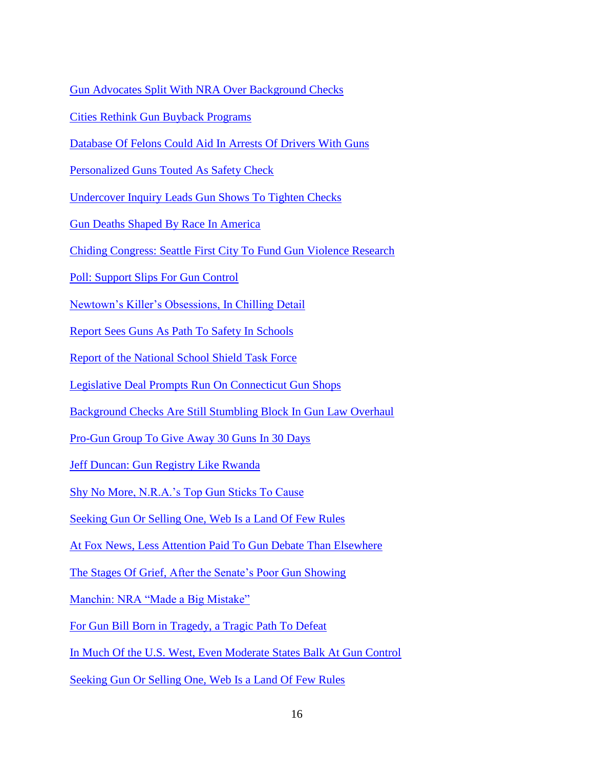[Gun Advocates Split With NRA Over Background Checks](http://www.washingtonpost.com/world/national-security/gun-advocates-divided-over-background-checks/2013/03/05/2eee5136-84f2-11e2-9d71-f0feafdd1394_story.html?hpid=z1)

[Cities Rethink Gun Buyback Programs](http://www.governing.com/topics/public-justice-safety/gov-cities-rethink-gun-buyback-programs.html)

[Database Of Felons Could Aid In Arrests Of Drivers With Guns](http://www.denverpost.com/news/ci_22757271/database-felons-could-aid-arrests-drivers-guns)

[Personalized Guns Touted As Safety Check](http://www.sfgate.com/nation/article/Personalized-guns-touted-as-safety-check-4323902.php#page-1)

[Undercover Inquiry Leads Gun Shows To Tighten Checks](http://www.nytimes.com/2013/03/15/nyregion/most-ny-gun-shows-to-take-steps-on-background-checks.html?hp)

[Gun Deaths Shaped By Race In America](http://www.washingtonpost.com/sf/feature/wp/2013/03/22/gun-deaths-shaped-by-race-in-america/)

[Chiding Congress: Seattle First City To Fund Gun Violence Research](http://vitals.nbcnews.com/_news/2013/03/22/17405241-chiding-congress-seattle-first-city-to-fund-gun-violence-research?lite)

[Poll: Support Slips For Gun Control](http://www.politico.com/story/2013/03/gun-control-poll-89314.html?hp=r8)

Newtown's [Killer's Obsessions, In Chilling Detail](http://www.nytimes.com/2013/03/29/nyregion/search-warrants-reveal-items-seized-at-adam-lanzas-home.html?nl=nyregion&emc=edit_ur_20130329&_r=0)

[Report Sees Guns As Path To Safety In Schools](http://www.nytimes.com/2013/04/03/us/nra-details-plan-for-armed-school-guards.html?ref=us)

[Report of the National School Shield Task Force](http://www.scribd.com/doc/133630146/NRA-s-National-School-Shield-Report)

[Legislative Deal Prompts Run On Connecticut Gun Shops](http://www.nytimes.com/2013/04/03/nyregion/connecticut-prepares-for-consequences-of-new-gun-laws.html)

[Background Checks Are Still Stumbling Block In Gun Law Overhaul](http://www.nytimes.com/2013/04/03/us/background-checks-still-stumbling-block-in-gun-law-overhaul.html?hp)

[Pro-Gun Group To Give Away 30 Guns In 30 Days](http://www.usatoday.com/story/money/business/2013/04/09/concealed-carry-magazine-us-concealed-carry-association-guns/2068873/)

[Jeff Duncan: Gun Registry Like Rwanda](http://www.politico.com/story/2013/04/jeff-duncan-gun-registry-like-rwanda-89974.html?hp=l4)

[Shy No More, N.R.A.'s Top Gun Sticks To Cause](http://www.nytimes.com/2013/04/14/us/wayne-lapierre-the-gun-man-sticking-to-his-cause.html?hp&_r=0)

[Seeking Gun Or Selling One, Web Is a Land Of Few Rules](http://www.nytimes.com/2013/04/17/us/seeking-gun-or-selling-one-web-is-a-land-of-few-rules.html)

[At Fox News, Less Attention Paid To Gun Debate Than Elsewhere](http://www.nytimes.com/2013/04/19/business/media/fox-news-msnbc-and-the-gun-debate.html?_r=0)

[The Stages Of Grief, After the Senate's Poor Gun Showing](http://www.washingtonpost.com/blogs/compost/wp/2013/04/18/the-stages-of-grief-after-the-senates-poor-gun-showing/?hpid=z3)

[Manchin: NRA "Made a Big Mistake"](http://www.washingtonpost.com/blogs/post-politics/wp/2013/04/18/manchin-nra-made-a-big-mistake/?hpid=z4)

[For Gun Bill Born in Tragedy, a Tragic Path To Defeat](http://www.nytimes.com/2013/04/19/us/tangled-birth-and-death-of-a-gun-control-bill.html?ref=politics&_r=0)

[In Much Of the U.S. West, Even Moderate States Balk At Gun Control](http://www.latimes.com/news/nationworld/nation/la-na-guns-west-20130422,0,1352210.story)

[Seeking Gun Or Selling One, Web Is a Land Of Few Rules](http://www.nytimes.com/2013/04/17/us/seeking-gun-or-selling-one-web-is-a-land-of-few-rules.html)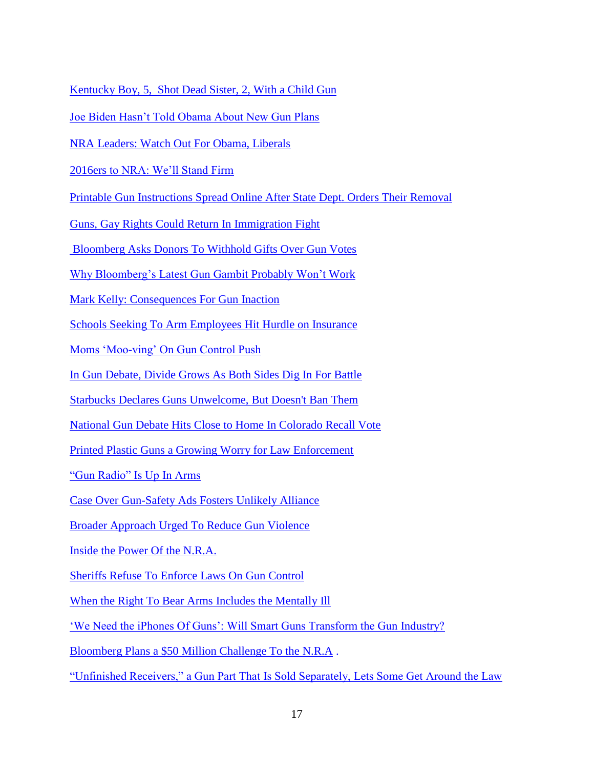[Kentucky Boy, 5, Shot Dead Sister, 2, With a Child Gun](http://www.bbc.co.uk/news/world-us-canada-22386105)

[Joe Biden Hasn't Told Obama About New Gun Plans](http://www.politico.com/story/2013/05/biden-planning-fresh-gun-control-push-90883.html?hp=l10)

[NRA Leaders: Watch Out For Obama, Liberals](http://www.politico.com/story/2013/05/nra-leaders-watch-out-for-obama-liberals-90921.html?hp=l2)

[2016ers to NRA: We'll Stand Firm](http://www.politico.com/story/2013/05/2016-republicans-nra-90908.html?hp=t1_3)

[Printable Gun Instructions Spread Online After State Dept. Orders Their Removal](http://thelede.blogs.nytimes.com/2013/05/10/printable-gun-instructions-spread-online-after-state-dept-orders-their-removal/?ref=us)

[Guns, Gay Rights Could Return In Immigration Fight](http://www.politico.com/story/2013/06/guns-gay-rights-immigration-congress-92234.html?hp=l16)

[Bloomberg Asks Donors To Withhold Gifts Over Gun Votes](http://www.nytimes.com/2013/06/12/nyregion/bloomberg-urges-no-gifts-to-democrats-who-blocked-gun-bill.html?hp&_r=1)

[Why Bloomberg's Latest Gun Gambit Probably Won't](http://www.thedailybeast.com/articles/2013/06/20/why-bloomberg-s-latest-gun-gambit-probably-won-t-work.html) Work

[Mark Kelly: Consequences For Gun Inaction](http://www.politico.com/story/2013/07/mark-kelly-gabrielle-giffords-gun-control-93628.html?hp=l1)

[Schools Seeking To Arm Employees Hit Hurdle on Insurance](http://www.nytimes.com/2013/07/08/us/schools-seeking-to-arm-employees-hit-hurdle-on-insurance.html?hp&_r=2&)

[Moms 'Moo-ving' On Gun Control Push](http://www.politico.com/story/2013/07/moms-gun-control-push-93739.html?hp=r10)

[In Gun Debate, Divide Grows As Both Sides Dig In For Battle](http://www.nytimes.com/2013/09/16/us/in-gun-debate-divide-grows-as-both-sides-dig-in-for-battle.html?hp&_r=1&)

[Starbucks Declares Guns Unwelcome, But Doesn't Ban Them](http://online.wsj.com/article/SB10001424127887324492604579082352323346902.html?mod=WSJ_WSJ_US_News_5#articleTabs%3Darticle)

[National Gun Debate Hits Close to Home In Colorado Recall Vote](http://www.nytimes.com/2013/09/03/us/national-debate-on-gun-control-hits-home-in-colorado-recall.html?src=me)

Printed Plastic Guns [a Growing Worry for Law Enforcement](http://www.washingtonpost.com/local/printed-plastic-guns-a-growing-worry-for-law-enforcement/2013/11/13/211e9f74-4cad-11e3-be6b-d3d28122e6d4_story.html?hpid=z4) 

["Gun Radio" Is Up In Arms](http://www.politico.com/story/2013/11/gun-radio-is-up-in-arms-99290.html?ml=po_r) 

[Case Over Gun-Safety Ads Fosters Unlikely Alliance](http://www.nytimes.com/2013/12/04/us/case-over-gun-safety-ads-fosters-unlikely-alliance.html?ref=us&_r=0) 

[Broader Approach Urged To Reduce Gun Violence](http://www.nytimes.com/2013/12/12/us/broader-approach-urged-to-reduce-gun-violence.html?ref=us) 

[Inside the Power Of the N.R.A.](http://www.nytimes.com/2013/12/15/magazine/inside-the-power-of-the-nra.html?ref=magazine) 

[Sheriffs Refuse To Enforce Laws On Gun Control](http://www.nytimes.com/2013/12/16/us/sheriffs-refuse-to-enforce-laws-on-gun-control.html?hp) 

[When the Right To Bear Arms Includes the Mentally Ill](http://www.nytimes.com/2013/12/22/us/when-the-right-to-bear-arms-includes-the-mentally-ill.html?ref=us) 

['We Need the iPhones Of Guns': Will Smart Guns Transform the Gun Industry?](http://www.washingtonpost.com/local/we-need-the-iphone-of-guns-will-smart-guns-transform-the-gun-industry/2014/02/17/6ebe76da-8f58-11e3-b227-12a45d109e03_story.html?hpid=z4)

[Bloomberg Plans a \\$50 Million Challenge To the N.R.A](http://www.nytimes.com/2014/04/16/us/bloomberg-plans-a-50-million-challenge-to-the-nra.html?_r=0) .

["Unfinished Receivers," a Gun Part That Is Sold Separately, Lets Some Get Around the Law](http://www.washingtonpost.com/world/national-security/unfinished-receivers-that-can-be-used-to-build-guns-pose-problems-for-law-enforcement/2014/05/13/8ec39e9e-da51-11e3-bda1-9b46b2066796_story.html?hpid=z1)